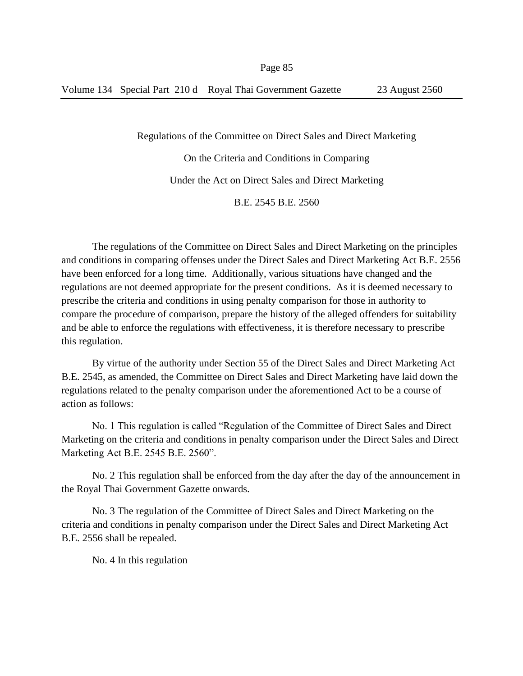Regulations of the Committee on Direct Sales and Direct Marketing On the Criteria and Conditions in Comparing Under the Act on Direct Sales and Direct Marketing B.E. 2545 B.E. 2560

The regulations of the Committee on Direct Sales and Direct Marketing on the principles and conditions in comparing offenses under the Direct Sales and Direct Marketing Act B.E. 2556 have been enforced for a long time. Additionally, various situations have changed and the regulations are not deemed appropriate for the present conditions. As it is deemed necessary to prescribe the criteria and conditions in using penalty comparison for those in authority to compare the procedure of comparison, prepare the history of the alleged offenders for suitability and be able to enforce the regulations with effectiveness, it is therefore necessary to prescribe this regulation.

By virtue of the authority under Section 55 of the Direct Sales and Direct Marketing Act B.E. 2545, as amended, the Committee on Direct Sales and Direct Marketing have laid down the regulations related to the penalty comparison under the aforementioned Act to be a course of action as follows:

No. 1 This regulation is called "Regulation of the Committee of Direct Sales and Direct Marketing on the criteria and conditions in penalty comparison under the Direct Sales and Direct Marketing Act B.E. 2545 B.E. 2560".

No. 2 This regulation shall be enforced from the day after the day of the announcement in the Royal Thai Government Gazette onwards.

No. 3 The regulation of the Committee of Direct Sales and Direct Marketing on the criteria and conditions in penalty comparison under the Direct Sales and Direct Marketing Act B.E. 2556 shall be repealed.

No. 4 In this regulation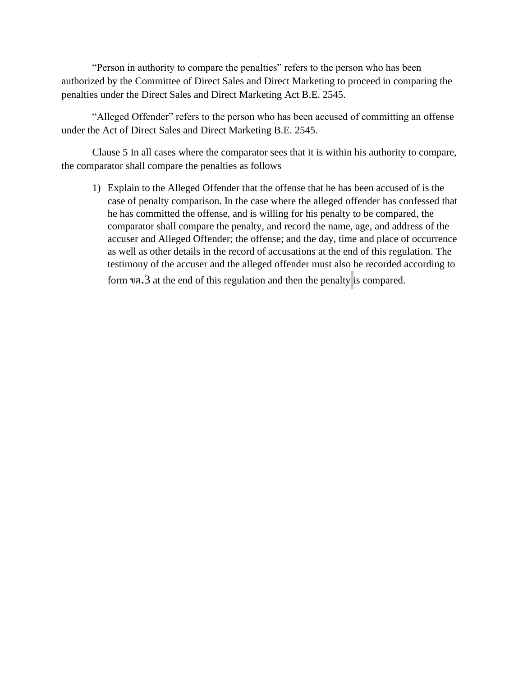"Person in authority to compare the penalties" refers to the person who has been authorized by the Committee of Direct Sales and Direct Marketing to proceed in comparing the penalties under the Direct Sales and Direct Marketing Act B.E. 2545.

"Alleged Offender" refers to the person who has been accused of committing an offense under the Act of Direct Sales and Direct Marketing B.E. 2545.

Clause 5 In all cases where the comparator sees that it is within his authority to compare, the comparator shall compare the penalties as follows

1) Explain to the Alleged Offender that the offense that he has been accused of is the case of penalty comparison. In the case where the alleged offender has confessed that he has committed the offense, and is willing for his penalty to be compared, the comparator shall compare the penalty, and record the name, age, and address of the accuser and Alleged Offender; the offense; and the day, time and place of occurrence as well as other details in the record of accusations at the end of this regulation. The testimony of the accuser and the alleged offender must also be recorded according to form ขต.3 at the end of this regulation and then the penalty is compared.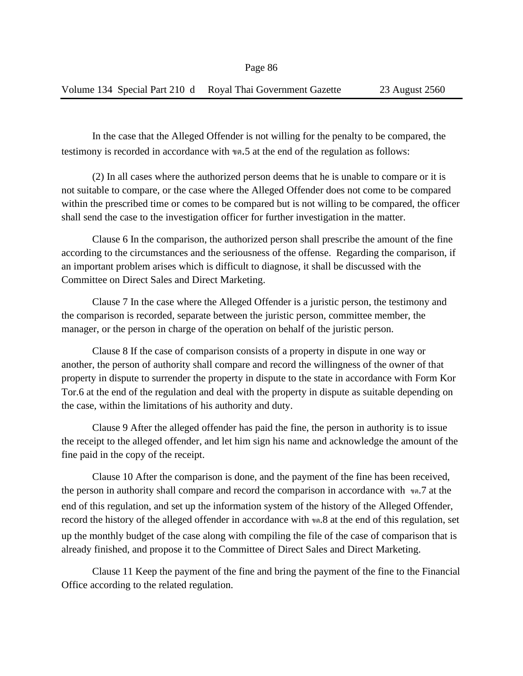In the case that the Alleged Offender is not willing for the penalty to be compared, the testimony is recorded in accordance with ขต.5 at the end of the regulation as follows:

(2) In all cases where the authorized person deems that he is unable to compare or it is not suitable to compare, or the case where the Alleged Offender does not come to be compared within the prescribed time or comes to be compared but is not willing to be compared, the officer shall send the case to the investigation officer for further investigation in the matter.

Clause 6 In the comparison, the authorized person shall prescribe the amount of the fine according to the circumstances and the seriousness of the offense. Regarding the comparison, if an important problem arises which is difficult to diagnose, it shall be discussed with the Committee on Direct Sales and Direct Marketing.

Clause 7 In the case where the Alleged Offender is a juristic person, the testimony and the comparison is recorded, separate between the juristic person, committee member, the manager, or the person in charge of the operation on behalf of the juristic person.

Clause 8 If the case of comparison consists of a property in dispute in one way or another, the person of authority shall compare and record the willingness of the owner of that property in dispute to surrender the property in dispute to the state in accordance with Form Kor Tor.6 at the end of the regulation and deal with the property in dispute as suitable depending on the case, within the limitations of his authority and duty.

Clause 9 After the alleged offender has paid the fine, the person in authority is to issue the receipt to the alleged offender, and let him sign his name and acknowledge the amount of the fine paid in the copy of the receipt.

Clause 10 After the comparison is done, and the payment of the fine has been received, the person in authority shall compare and record the comparison in accordance with ขต.7 at the end of this regulation, and set up the information system of the history of the Alleged Offender, record the history of the alleged offender in accordance with ขต.8 at the end of this regulation, set up the monthly budget of the case along with compiling the file of the case of comparison that is already finished, and propose it to the Committee of Direct Sales and Direct Marketing.

Clause 11 Keep the payment of the fine and bring the payment of the fine to the Financial Office according to the related regulation.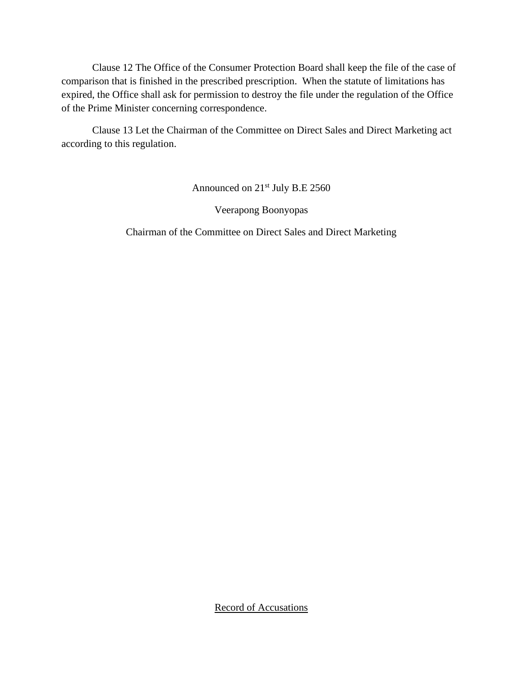Clause 12 The Office of the Consumer Protection Board shall keep the file of the case of comparison that is finished in the prescribed prescription. When the statute of limitations has expired, the Office shall ask for permission to destroy the file under the regulation of the Office of the Prime Minister concerning correspondence.

Clause 13 Let the Chairman of the Committee on Direct Sales and Direct Marketing act according to this regulation.

Announced on 21<sup>st</sup> July B.E 2560

Veerapong Boonyopas

Chairman of the Committee on Direct Sales and Direct Marketing

Record of Accusations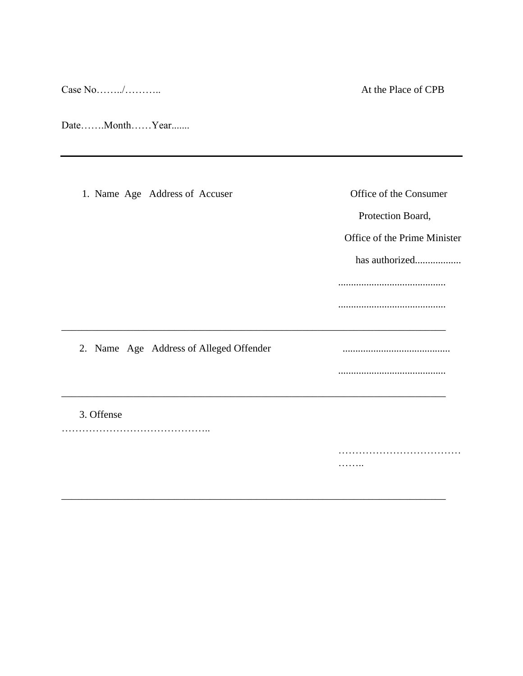Case  $No$ ......../..............

At the Place of CPB

Date.......Month......Year.......

1. Name Age Address of Accuser Office of the Consumer Protection Board, Office of the Prime Minister has authorized.................. 2. Name Age Address of Alleged Offender 3. Offense . . . . . . . .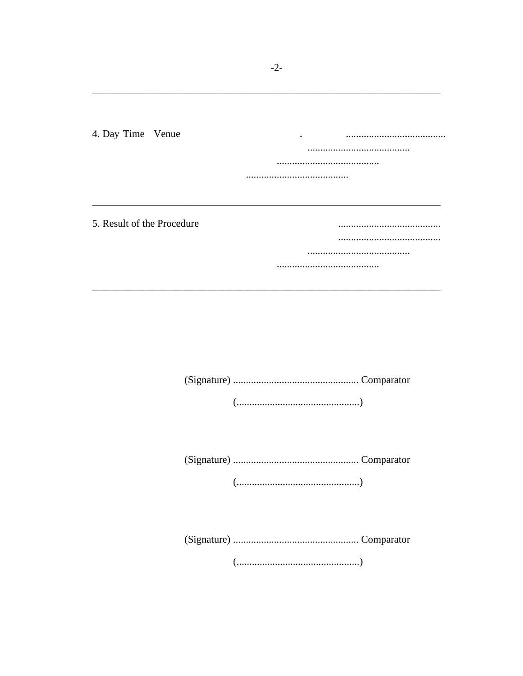4. Day Time Venue 5. Result of the Procedure ...................................... 

 $(\ldots,\ldots,\ldots,\ldots,\ldots,\ldots,\ldots,\ldots,\ldots,\ldots,\ldots))$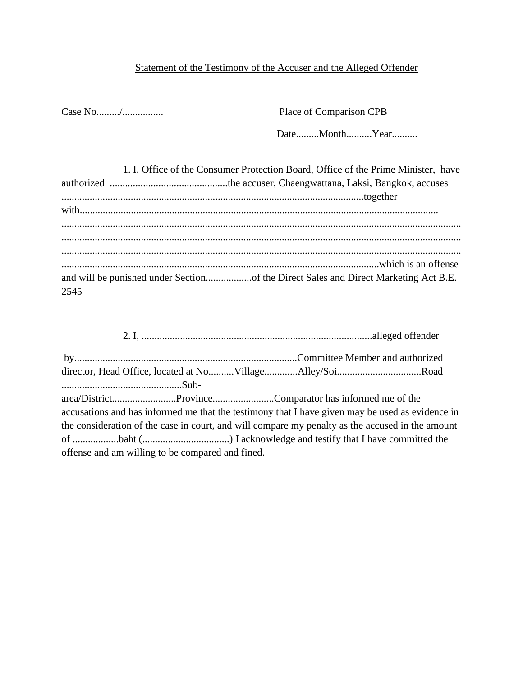## Statement of the Testimony of the Accuser and the Alleged Offender

Case No........./................ Place of Comparison CPB

Date.........Month..........Year..........

|      | 1. I, Office of the Consumer Protection Board, Office of the Prime Minister, have   |
|------|-------------------------------------------------------------------------------------|
|      |                                                                                     |
|      |                                                                                     |
|      |                                                                                     |
|      |                                                                                     |
|      |                                                                                     |
|      |                                                                                     |
|      |                                                                                     |
|      | and will be punished under Sectionof the Direct Sales and Direct Marketing Act B.E. |
| 2545 |                                                                                     |

| director, Head Office, located at NoVillageAlley/SoiRoad                                         |  |  |
|--------------------------------------------------------------------------------------------------|--|--|
|                                                                                                  |  |  |
|                                                                                                  |  |  |
| accusations and has informed me that the testimony that I have given may be used as evidence in  |  |  |
| the consideration of the case in court, and will compare my penalty as the accused in the amount |  |  |
|                                                                                                  |  |  |
| offense and am willing to be compared and fined.                                                 |  |  |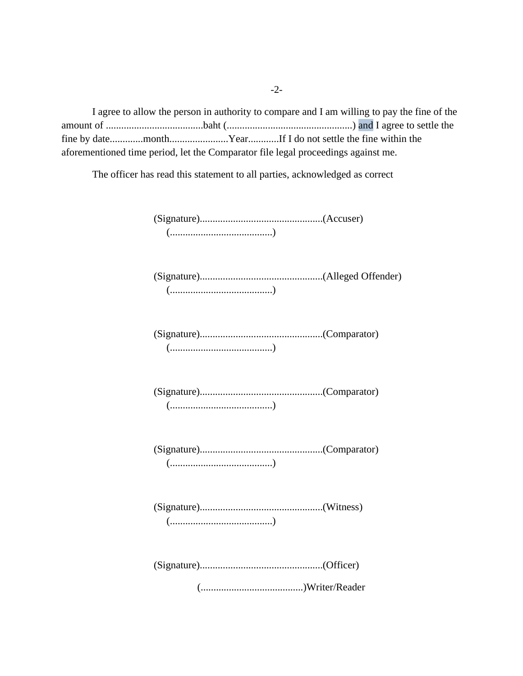I agree to allow the person in authority to compare and I am willing to pay the fine of the amount of ......................................baht (.................................................) and I agree to settle the fine by date.............month.......................Year............If I do not settle the fine within the aforementioned time period, let the Comparator file legal proceedings against me.

The officer has read this statement to all parties, acknowledged as correct

(Signature)................................................(Accuser) (........................................)

(Signature)................................................(Alleged Offender) (........................................)

(Signature)................................................(Comparator) (........................................)

(Signature)................................................(Comparator) (........................................)

(Signature)................................................(Comparator) (........................................)

(Signature)................................................(Witness) (........................................)

(Signature)................................................(Officer)

(........................................)Writer/Reader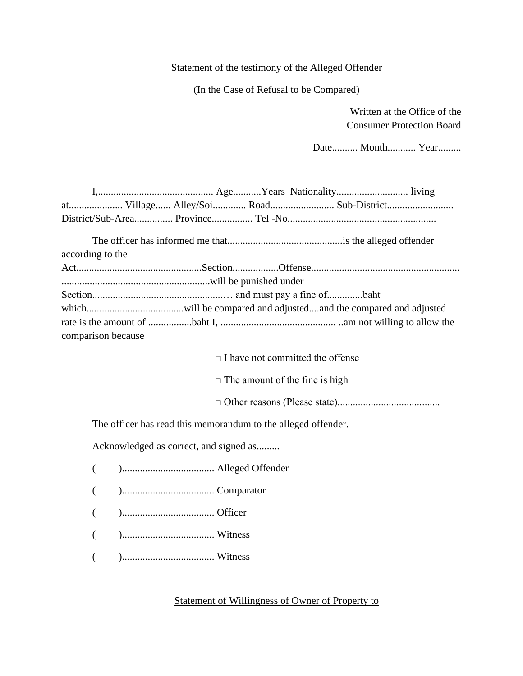#### Statement of the testimony of the Alleged Offender

(In the Case of Refusal to be Compared)

 Written at the Office of the Consumer Protection Board

Date.......... Month........... Year.........

|                    | at Village Alley/Soi Road Sub-District                        |
|--------------------|---------------------------------------------------------------|
|                    |                                                               |
| according to the   |                                                               |
|                    |                                                               |
|                    |                                                               |
|                    |                                                               |
|                    |                                                               |
|                    |                                                               |
| comparison because |                                                               |
|                    |                                                               |
|                    | $\Box$ I have not committed the offense                       |
|                    | $\Box$ The amount of the fine is high                         |
|                    |                                                               |
|                    | The officer has read this memorandum to the alleged offender. |
|                    | Acknowledged as correct, and signed as                        |
| $\left($           |                                                               |
| €                  |                                                               |
| $\left($           |                                                               |
| $\left($           |                                                               |
|                    |                                                               |

#### Statement of Willingness of Owner of Property to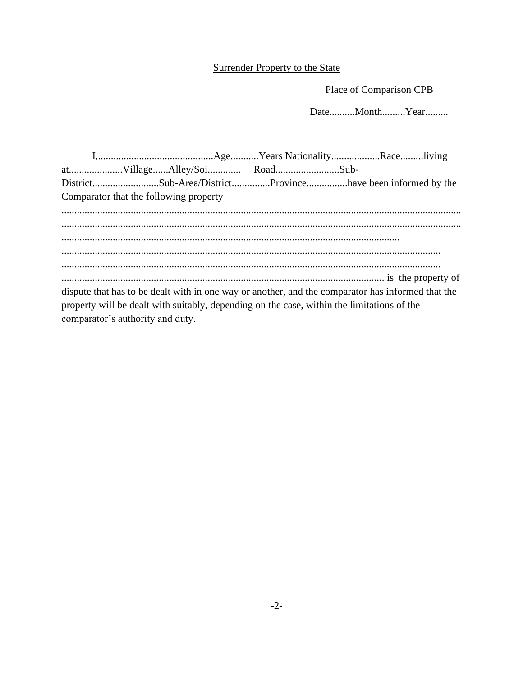## **Surrender Property to the State**

Place of Comparison CPB

Date..........Month.........Year.........

|                                        | DistrictSub-Area/DistrictProvincehave been informed by the                                        |  |  |
|----------------------------------------|---------------------------------------------------------------------------------------------------|--|--|
| Comparator that the following property |                                                                                                   |  |  |
|                                        |                                                                                                   |  |  |
|                                        |                                                                                                   |  |  |
|                                        |                                                                                                   |  |  |
|                                        |                                                                                                   |  |  |
|                                        |                                                                                                   |  |  |
|                                        |                                                                                                   |  |  |
|                                        | dispute that has to be dealt with in one way or another, and the comparator has informed that the |  |  |
|                                        | property will be dealt with suitably, depending on the case, within the limitations of the        |  |  |
| comparator's authority and duty.       |                                                                                                   |  |  |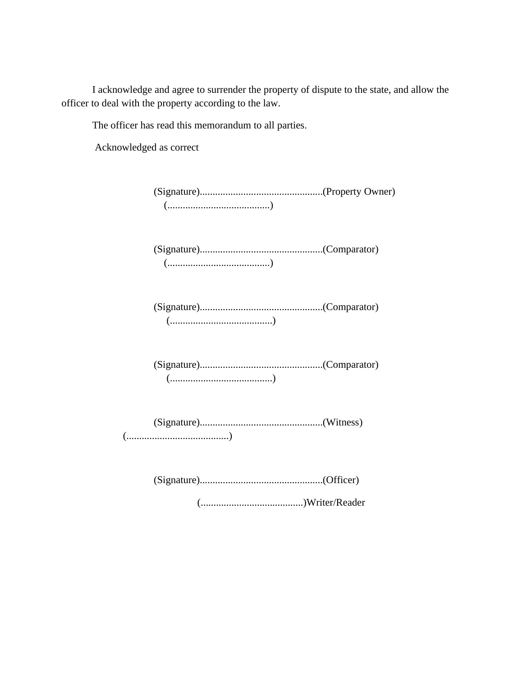I acknowledge and agree to surrender the property of dispute to the state, and allow the officer to deal with the property according to the law.

The officer has read this memorandum to all parties.

Acknowledged as correct

(Signature)................................................(Property Owner) (........................................)

(Signature)................................................(Comparator) (........................................)

(Signature)................................................(Comparator) (........................................)

(Signature)................................................(Comparator) (........................................)

(Signature)................................................(Witness) (........................................)

(Signature)................................................(Officer)

(........................................)Writer/Reader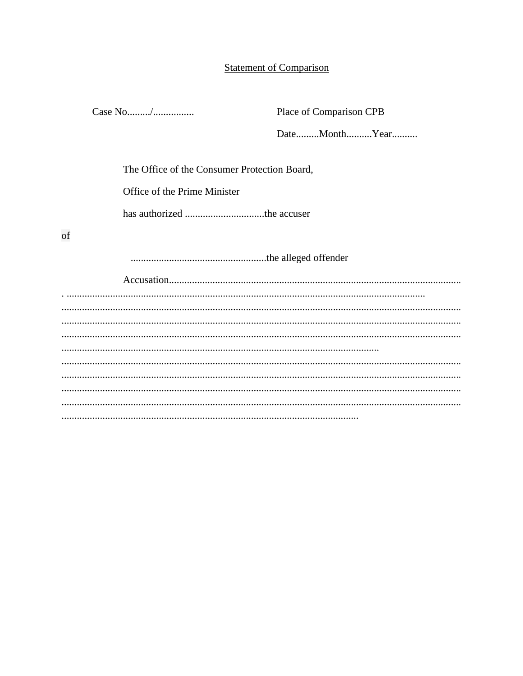#### **Statement of Comparison**

Place of Comparison CPB

Date.........Month..........Year..........

The Office of the Consumer Protection Board,

Office of the Prime Minister

of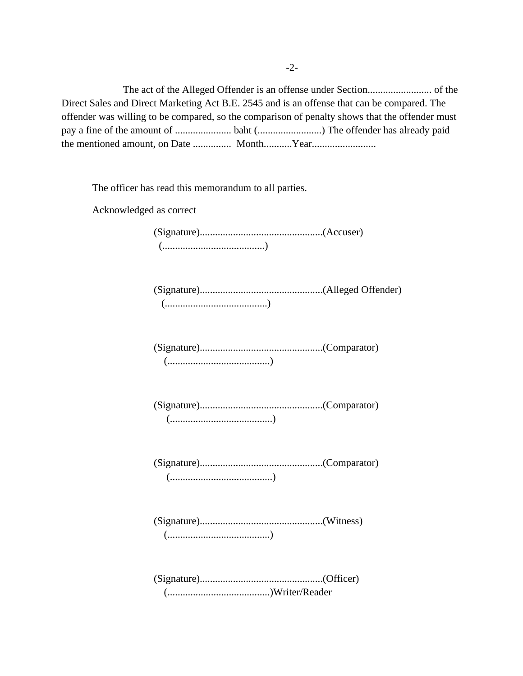The act of the Alleged Offender is an offense under Section......................... of the Direct Sales and Direct Marketing Act B.E. 2545 and is an offense that can be compared. The offender was willing to be compared, so the comparison of penalty shows that the offender must pay a fine of the amount of ...................... baht (.........................) The offender has already paid the mentioned amount, on Date ............... Month...........Year.........................

The officer has read this memorandum to all parties.

Acknowledged as correct

(Signature)................................................(Accuser) (........................................)

(Signature)................................................(Alleged Offender) (........................................)

(Signature)................................................(Comparator) (........................................)

(Signature)................................................(Comparator) (........................................)

(Signature)................................................(Comparator) (........................................)

(Signature)................................................(Witness) (........................................)

(Signature)................................................(Officer) (........................................)Writer/Reader